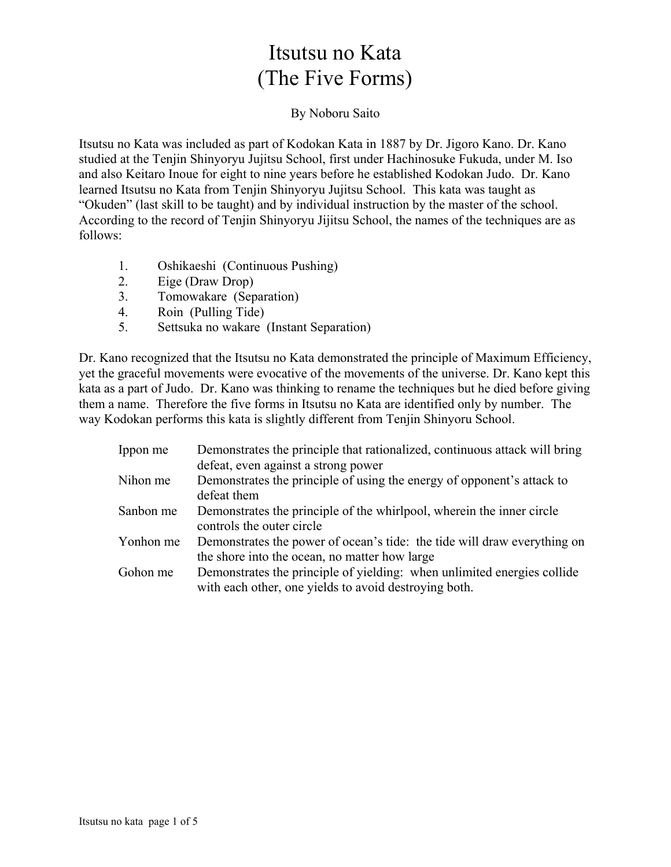# Itsutsu no Kata (The Five Forms)

#### By Noboru Saito

Itsutsu no Kata was included as part of Kodokan Kata in 1887 by Dr. Jigoro Kano. Dr. Kano studied at the Tenjin Shinyoryu Jujitsu School, first under Hachinosuke Fukuda, under M. Iso and also Keitaro Inoue for eight to nine years before he established Kodokan Judo. Dr. Kano learned Itsutsu no Kata from Tenjin Shinyoryu Jujitsu School. This kata was taught as "Okuden" (last skill to be taught) and by individual instruction by the master of the school. According to the record of Tenjin Shinyoryu Jijitsu School, the names of the techniques are as follows:

- 1. Oshikaeshi (Continuous Pushing)
- 2. Eige (Draw Drop)
- 3. Tomowakare (Separation)
- 4. Roin (Pulling Tide)
- 5. Settsuka no wakare (Instant Separation)

Dr. Kano recognized that the Itsutsu no Kata demonstrated the principle of Maximum Efficiency, yet the graceful movements were evocative of the movements of the universe. Dr. Kano kept this kata as a part of Judo. Dr. Kano was thinking to rename the techniques but he died before giving them a name. Therefore the five forms in Itsutsu no Kata are identified only by number. The way Kodokan performs this kata is slightly different from Tenjin Shinyoru School.

| Ippon me  | Demonstrates the principle that rationalized, continuous attack will bring |
|-----------|----------------------------------------------------------------------------|
|           | defeat, even against a strong power                                        |
| Nihon me  | Demonstrates the principle of using the energy of opponent's attack to     |
|           | defeat them                                                                |
| Sanbon me | Demonstrates the principle of the whirlpool, wherein the inner circle      |
|           | controls the outer circle                                                  |
| Yonhon me | Demonstrates the power of ocean's tide: the tide will draw everything on   |
|           | the shore into the ocean, no matter how large                              |
| Gohon me  | Demonstrates the principle of yielding: when unlimited energies collide    |
|           | with each other, one yields to avoid destroying both.                      |
|           |                                                                            |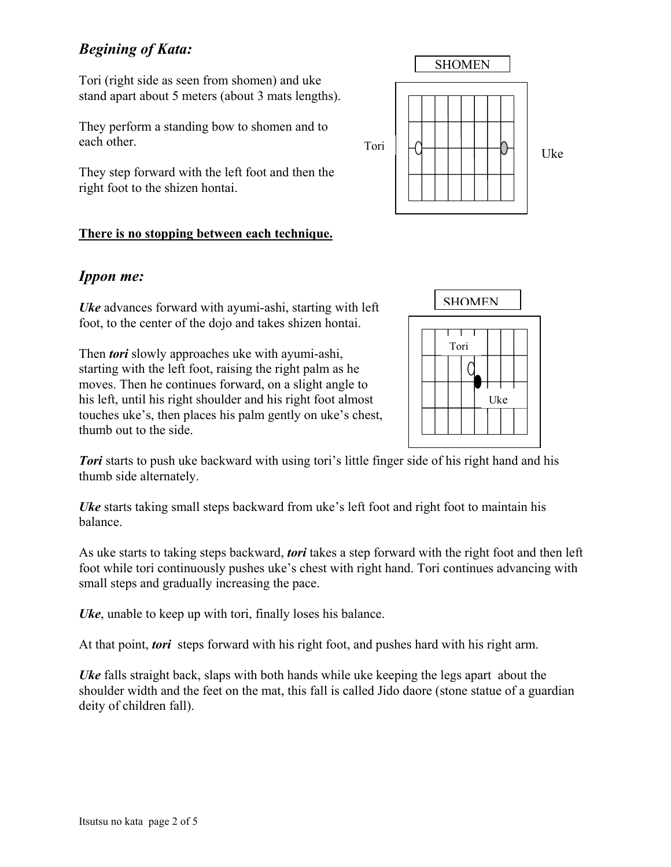# *Begining of Kata:*

Tori (right side as seen from shomen) and uke stand apart about 5 meters (about 3 mats lengths).

They perform a standing bow to shomen and to each other.

They step forward with the left foot and then the right foot to the shizen hontai.

#### **There is no stopping between each technique.**

## *Ippon me:*

*Uke* advances forward with ayumi-ashi, starting with left foot, to the center of the dojo and takes shizen hontai.

Then *tori* slowly approaches uke with ayumi-ashi, starting with the left foot, raising the right palm as he moves. Then he continues forward, on a slight angle to his left, until his right shoulder and his right foot almost touches uke's, then places his palm gently on uke's chest, thumb out to the side.

**Tori** starts to push uke backward with using tori's little finger side of his right hand and his thumb side alternately.

*Uke* starts taking small steps backward from uke's left foot and right foot to maintain his balance.

As uke starts to taking steps backward, *tori* takes a step forward with the right foot and then left foot while tori continuously pushes uke's chest with right hand. Tori continues advancing with small steps and gradually increasing the pace.

*Uke*, unable to keep up with tori, finally loses his balance.

At that point, *tori* steps forward with his right foot, and pushes hard with his right arm.

*Uke* falls straight back, slaps with both hands while uke keeping the legs apart about the shoulder width and the feet on the mat, this fall is called Jido daore (stone statue of a guardian deity of children fall).



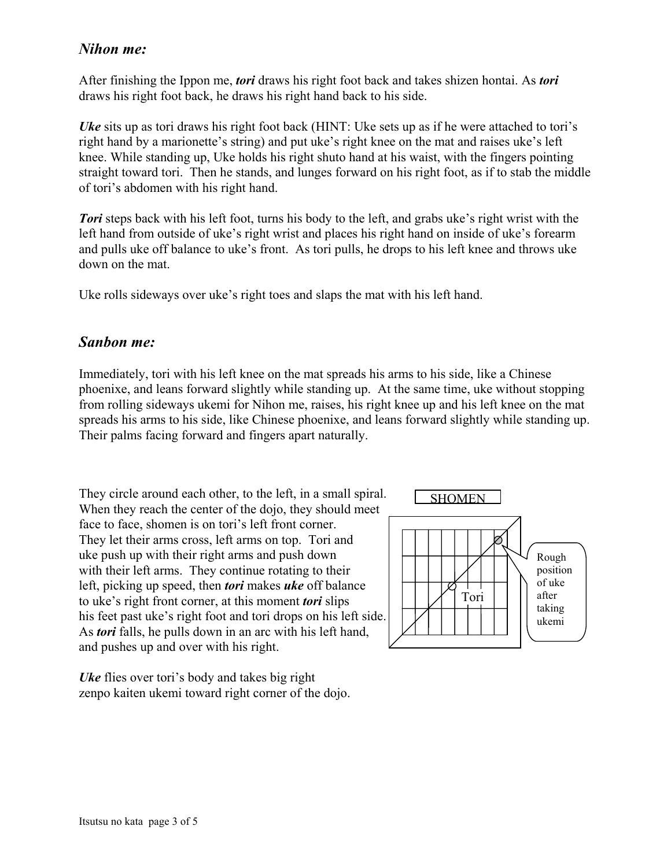#### *Nihon me:*

After finishing the Ippon me, *tori* draws his right foot back and takes shizen hontai. As *tori* draws his right foot back, he draws his right hand back to his side.

*Uke* sits up as tori draws his right foot back (HINT: Uke sets up as if he were attached to tori's right hand by a marionette's string) and put uke's right knee on the mat and raises uke's left knee. While standing up, Uke holds his right shuto hand at his waist, with the fingers pointing straight toward tori. Then he stands, and lunges forward on his right foot, as if to stab the middle of tori's abdomen with his right hand.

*Tori* steps back with his left foot, turns his body to the left, and grabs uke's right wrist with the left hand from outside of uke's right wrist and places his right hand on inside of uke's forearm and pulls uke off balance to uke's front. As tori pulls, he drops to his left knee and throws uke down on the mat.

Uke rolls sideways over uke's right toes and slaps the mat with his left hand.

#### *Sanbon me:*

Immediately, tori with his left knee on the mat spreads his arms to his side, like a Chinese phoenixe, and leans forward slightly while standing up. At the same time, uke without stopping from rolling sideways ukemi for Nihon me, raises, his right knee up and his left knee on the mat spreads his arms to his side, like Chinese phoenixe, and leans forward slightly while standing up. Their palms facing forward and fingers apart naturally.

They circle around each other, to the left, in a small spiral. When they reach the center of the dojo, they should meet face to face, shomen is on tori's left front corner. They let their arms cross, left arms on top. Tori and uke push up with their right arms and push down with their left arms. They continue rotating to their left, picking up speed, then *tori* makes *uke* off balance to uke's right front corner, at this moment *tori* slips his feet past uke's right foot and tori drops on his left side. As *tori* falls, he pulls down in an arc with his left hand, and pushes up and over with his right.

*Uke* flies over tori's body and takes big right zenpo kaiten ukemi toward right corner of the dojo.

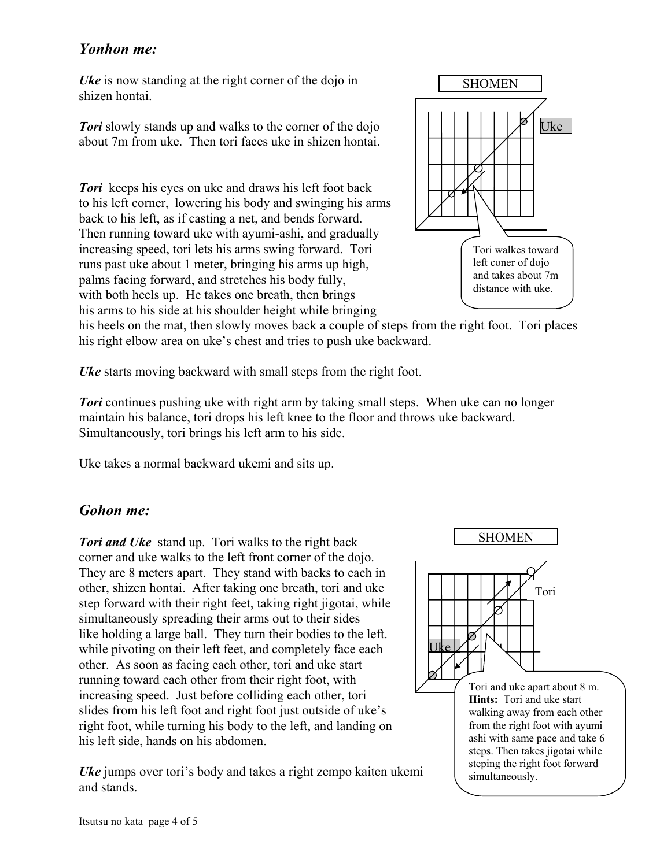#### *Yonhon me:*

*Uke* is now standing at the right corner of the dojo in shizen hontai.

*Tori* slowly stands up and walks to the corner of the dojo about 7m from uke. Then tori faces uke in shizen hontai.

**Tori** keeps his eyes on uke and draws his left foot back to his left corner, lowering his body and swinging his arms back to his left, as if casting a net, and bends forward. Then running toward uke with ayumi-ashi, and gradually increasing speed, tori lets his arms swing forward. Tori runs past uke about 1 meter, bringing his arms up high, palms facing forward, and stretches his body fully, with both heels up. He takes one breath, then brings his arms to his side at his shoulder height while bringing



his heels on the mat, then slowly moves back a couple of steps from the right foot. Tori places his right elbow area on uke's chest and tries to push uke backward.

*Uke* starts moving backward with small steps from the right foot.

*Tori* continues pushing uke with right arm by taking small steps. When uke can no longer maintain his balance, tori drops his left knee to the floor and throws uke backward. Simultaneously, tori brings his left arm to his side.

Uke takes a normal backward ukemi and sits up.

### *Gohon me:*

*Tori and Uke* stand up. Tori walks to the right back corner and uke walks to the left front corner of the dojo. They are 8 meters apart. They stand with backs to each in other, shizen hontai. After taking one breath, tori and uke step forward with their right feet, taking right jigotai, while simultaneously spreading their arms out to their sides like holding a large ball. They turn their bodies to the left. while pivoting on their left feet, and completely face each other. As soon as facing each other, tori and uke start running toward each other from their right foot, with increasing speed. Just before colliding each other, tori slides from his left foot and right foot just outside of uke's right foot, while turning his body to the left, and landing on his left side, hands on his abdomen.

*Uke* jumps over tori's body and takes a right zempo kaiten ukemi and stands.